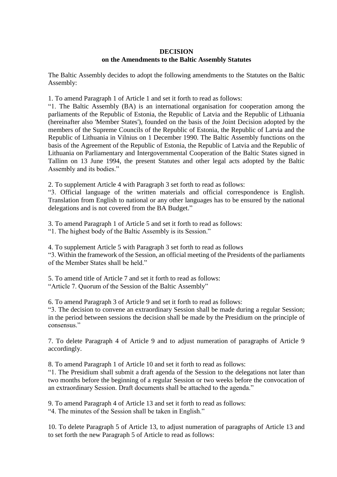## **DECISION on the Amendments to the Baltic Assembly Statutes**

The Baltic Assembly decides to adopt the following amendments to the Statutes on the Baltic Assembly:

1. To amend Paragraph 1 of Article 1 and set it forth to read as follows:

"1. The Baltic Assembly (BA) is an international organisation for cooperation among the parliaments of the Republic of Estonia, the Republic of Latvia and the Republic of Lithuania (hereinafter also 'Member States'), founded on the basis of the Joint Decision adopted by the members of the Supreme Councils of the Republic of Estonia, the Republic of Latvia and the Republic of Lithuania in Vilnius on 1 December 1990. The Baltic Assembly functions on the basis of the Agreement of the Republic of Estonia, the Republic of Latvia and the Republic of Lithuania on Parliamentary and Intergovernmental Cooperation of the Baltic States signed in Tallinn on 13 June 1994, the present Statutes and other legal acts adopted by the Baltic Assembly and its bodies."

2. To supplement Article 4 with Paragraph 3 set forth to read as follows:

"3. Official language of the written materials and official correspondence is English. Translation from English to national or any other languages has to be ensured by the national delegations and is not covered from the BA Budget."

3. To amend Paragraph 1 of Article 5 and set it forth to read as follows:

"1. The highest body of the Baltic Assembly is its Session."

4. To supplement Article 5 with Paragraph 3 set forth to read as follows

"3. Within the framework of the Session, an official meeting of the Presidents of the parliaments of the Member States shall be held."

5. To amend title of Article 7 and set it forth to read as follows: "Article 7. Quorum of the Session of the Baltic Assembly"

6. To amend Paragraph 3 of Article 9 and set it forth to read as follows:

"3. The decision to convene an extraordinary Session shall be made during a regular Session; in the period between sessions the decision shall be made by the Presidium on the principle of consensus."

7. To delete Paragraph 4 of Article 9 and to adjust numeration of paragraphs of Article 9 accordingly.

8. To amend Paragraph 1 of Article 10 and set it forth to read as follows:

"1. The Presidium shall submit a draft agenda of the Session to the delegations not later than two months before the beginning of a regular Session or two weeks before the convocation of an extraordinary Session. Draft documents shall be attached to the agenda."

9. To amend Paragraph 4 of Article 13 and set it forth to read as follows:

"4. The minutes of the Session shall be taken in English."

10. To delete Paragraph 5 of Article 13, to adjust numeration of paragraphs of Article 13 and to set forth the new Paragraph 5 of Article to read as follows: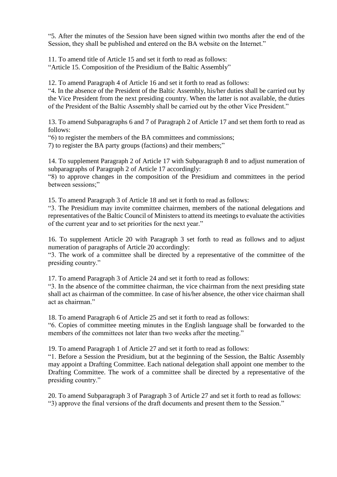"5. After the minutes of the Session have been signed within two months after the end of the Session, they shall be published and entered on the BA website on the Internet."

11. To amend title of Article 15 and set it forth to read as follows: "Article 15. Composition of the Presidium of the Baltic Assembly"

12. To amend Paragraph 4 of Article 16 and set it forth to read as follows:

"4. In the absence of the President of the Baltic Assembly, his/her duties shall be carried out by the Vice President from the next presiding country. When the latter is not available, the duties of the President of the Baltic Assembly shall be carried out by the other Vice President."

13. To amend Subparagraphs 6 and 7 of Paragraph 2 of Article 17 and set them forth to read as follows:

"6) to register the members of the BA committees and commissions;

7) to register the BA party groups (factions) and their members;"

14. To supplement Paragraph 2 of Article 17 with Subparagraph 8 and to adjust numeration of subparagraphs of Paragraph 2 of Article 17 accordingly:

"8) to approve changes in the composition of the Presidium and committees in the period between sessions;"

15. To amend Paragraph 3 of Article 18 and set it forth to read as follows:

"3. The Presidium may invite committee chairmen, members of the national delegations and representatives of the Baltic Council of Ministers to attend its meetings to evaluate the activities of the current year and to set priorities for the next year."

16. To supplement Article 20 with Paragraph 3 set forth to read as follows and to adjust numeration of paragraphs of Article 20 accordingly:

"3. The work of a committee shall be directed by a representative of the committee of the presiding country."

17. To amend Paragraph 3 of Article 24 and set it forth to read as follows:

"3. In the absence of the committee chairman, the vice chairman from the next presiding state shall act as chairman of the committee. In case of his/her absence, the other vice chairman shall act as chairman."

18. To amend Paragraph 6 of Article 25 and set it forth to read as follows:

"6. Copies of committee meeting minutes in the English language shall be forwarded to the members of the committees not later than two weeks after the meeting."

19. To amend Paragraph 1 of Article 27 and set it forth to read as follows:

"1. Before a Session the Presidium, but at the beginning of the Session, the Baltic Assembly may appoint a Drafting Committee. Each national delegation shall appoint one member to the Drafting Committee. The work of a committee shall be directed by a representative of the presiding country."

20. To amend Subparagraph 3 of Paragraph 3 of Article 27 and set it forth to read as follows: "3) approve the final versions of the draft documents and present them to the Session."